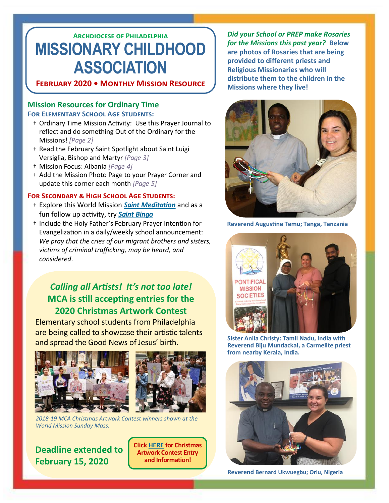# **Archdiocese of Philadelphia MISSIONARY CHILDHOOD ASSOCIATION**

### **February 2020 • Monthly Mission Resource**

#### **Mission Resources for Ordinary Time For Elementary School Age Students:**

- † Ordinary Time Mission Activity: Use this Prayer Journal to reflect and do something Out of the Ordinary for the Missions! *[Page 2]*
- † Read the February Saint Spotlight about Saint Luigi Versiglia, Bishop and Martyr *[Page 3]*
- † Mission Focus: Albania *[Page 4]*
- † Add the Mission Photo Page to your Prayer Corner and update this corner each month *[Page 5]*

#### **For Secondary & High School Age Students:**

- † Explore this World Mission *[Saint Meditation](http://phillymissions.org/wp-content/uploads/2020/01/World_Mission_Meditation_On_The_Saints-MCA.pdf)* and as a fun follow up activity, try *[Saint Bingo](http://phillymissions.org/wp-content/uploads/2020/01/Saint_Bingo.pdf)*
- † Include the Holy Father's February Prayer Intention for Evangelization in a daily/weekly school announcement: *We pray that the cries of our migrant brothers and sisters, victims of criminal trafficking, may be heard, and considered*.

## *Calling all Artists! It's not too late!*  **MCA is still accepting entries for the 2020 Christmas Artwork Contest**

Elementary school students from Philadelphia are being called to showcase their artistic talents and spread the Good News of Jesus' birth.



*2018-19 MCA Christmas Artwork Contest winners shown at the World Mission Sunday Mass.*

## **Deadline extended to February 15, 2020**

**Click [HERE](http://phillymissions.org/wp-content/uploads/2019/10/2019-2020-Artwork-Entry-Form-1.pdf) for Christmas Artwork Contest Entry and Information!** 

*Did your School or PREP make Rosaries for the Missions this past year?* **Below are photos of Rosaries that are being provided to different priests and Religious Missionaries who will distribute them to the children in the Missions where they live!**



**Reverend Augustine Temu; Tanga, Tanzania**



**Sister Anila Christy: Tamil Nadu, India with Reverend Biju Mundackal, a Carmelite priest from nearby Kerala, India.**



**Reverend Bernard Ukwuegbu; Orlu, Nigeria**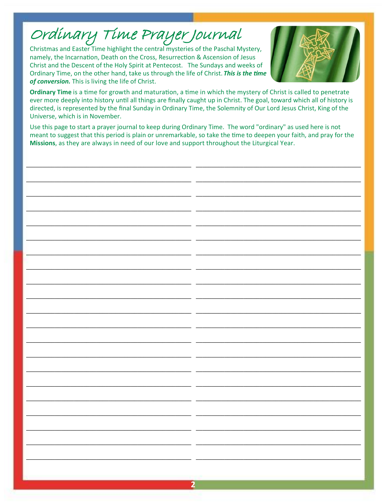# Ordinary Time Prayer Journal

Christmas and Easter Time highlight the central mysteries of the Paschal Mystery, namely, the Incarnation, Death on the Cross, Resurrection & Ascension of Jesus Christ and the Descent of the Holy Spirit at Pentecost. The Sundays and weeks of Ordinary Time, on the other hand, take us through the life of Christ. This is the time of conversion. This is living the life of Christ.



Ordinary Time is a time for growth and maturation, a time in which the mystery of Christ is called to penetrate ever more deeply into history until all things are finally caught up in Christ. The goal, toward which all of history is directed, is represented by the final Sunday in Ordinary Time, the Solemnity of Our Lord Jesus Christ, King of the Universe, which is in November.

Use this page to start a prayer journal to keep during Ordinary Time. The word "ordinary" as used here is not meant to suggest that this period is plain or unremarkable, so take the time to deepen your faith, and pray for the Missions, as they are always in need of our love and support throughout the Liturgical Year.

2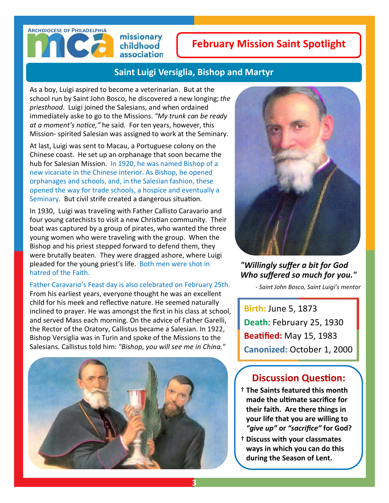# **Archdiocese of Philadelphia**

missionary childhood association

# **February Mission Saint Spotlight**

## **Saint Luigi Versiglia, Bishop and Martyr**

As a boy, Luigi aspired to become a veterinarian. But at the school run by Saint John Bosco, he discovered a new longing; *the priesthood*. Luigi joined the Salesians, and when ordained immediately aske to go to the Missions. *"My trunk can be ready at a moment's notice,"* he said. For ten years, however, this Mission- spirited Salesian was assigned to work at the Seminary.

At last, Luigi was sent to Macau, a Portuguese colony on the Chinese coast. He set up an orphanage that soon became the hub for Salesian Mission. In 1920, he was named Bishop of a new vicariate in the Chinese interior. As Bishop, he opened orphanages and schools, and, in the Salesian fashion, these opened the way for trade schools, a hospice and eventually a Seminary. But civil strife created a dangerous situation.

In 1930, Luigi was traveling with Father Callisto Caravario and four young catechists to visit a new Christian community. Their boat was captured by a group of pirates, who wanted the three young women who were traveling with the group. When the Bishop and his priest stepped forward to defend them, they were brutally beaten. They were dragged ashore, where Luigi pleaded for the young priest's life. Both men were shot in hatred of the Faith.

#### Father Caravario's Feast day is also celebrated on February 25th.

From his earliest years, everyone thought he was an excellent child for his meek and reflective nature. He seemed naturally inclined to prayer. He was amongst the first in his class at school, and served Mass each morning. On the advice of Father Garelli, the Rector of the Oratory, Callistus became a Salesian. In 1922, Bishop Versiglia was in Turin and spoke of the Missions to the Salesians. Callistus told him: *"Bishop, you will see me in China."* 





### *"Willingly suffer a bit for God Who suffered so much for you."*

 *- Saint John Bosco, Saint Luigi's mentor*

**Birth:** June 5, 1873 **Death:** February 25, 1930 **Beatified:** May 15, 1983 **Canonized:** October 1, 2000

## **Discussion Question:**

- † **The Saints featured this month made the ultimate sacrifice for their faith. Are there things in your life that you are willing to**  *"give up"* **or** *"sacrifice"* **for God?**
- † **Discuss with your classmates ways in which you can do this during the Season of Lent.**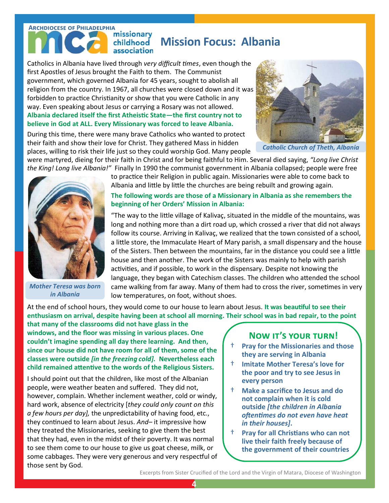#### **ARCHDIOCESE OF PHILADELPHIA**<br>**MISSIONARY Mission Focus: Albania** childhood association

Catholics in Albania have lived through *very difficult times*, even though the first Apostles of Jesus brought the Faith to them. The Communist government, which governed Albania for 45 years, sought to abolish all religion from the country. In 1967, all churches were closed down and it was forbidden to practice Christianity or show that you were Catholic in any way. Even speaking about Jesus or carrying a Rosary was not allowed. **Albania declared itself the first Atheistic State—the first country not to believe in God at ALL. Every Missionary was forced to leave Albania.** 

During this time, there were many brave Catholics who wanted to protect their faith and show their love for Christ. They gathered Mass in hidden places, willing to risk their life just so they could worship God. Many people



*Catholic Church of Theth, Albania*

were martyred, dieing for their faith in Christ and for being faithful to Him. Several died saying, *"Long live Christ the King! Long live Albania!"* Finally In 1990 the communist government in Albania collapsed; people were free



*Mother Teresa was born in Albania*

to practice their Religion in public again. Missionaries were able to come back to Albania and little by little the churches are being rebuilt and growing again.

#### **The following words are those of a Missionary in Albania as she remembers the beginning of her Orders' Mission in Albania:**

"The way to the little village of Kalivaç, situated in the middle of the mountains, was long and nothing more than a dirt road up, which crossed a river that did not always follow its course. Arriving in Kalivaç, we realized that the town consisted of a school, a little store, the Immaculate Heart of Mary parish, a small dispensary and the house of the Sisters. Then between the mountains, far in the distance you could see a little house and then another. The work of the Sisters was mainly to help with parish activities, and if possible, to work in the dispensary. Despite not knowing the language, they began with Catechism classes. The children who attended the school came walking from far away. Many of them had to cross the river, sometimes in very low temperatures, on foot, without shoes.

At the end of school hours, they would come to our house to learn about Jesus. **It was beautiful to see their enthusiasm on arrival, despite having been at school all morning. Their school was in bad repair, to the point** 

**that many of the classrooms did not have glass in the windows, and the floor was missing in various places. One couldn't imagine spending all day there learning. And then, since our house did not have room for all of them, some of the classes were outside** *[in the freezing cold].* **Nevertheless each child remained attentive to the words of the Religious Sisters.** 

I should point out that the children, like most of the Albanian people, were weather beaten and suffered. They did not, however, complain. Whether inclement weather, cold or windy, hard work, absence of electricity [*they could only count on this a few hours per day],* the unpredictability of having food, etc., they continued to learn about Jesus. *And*– it impressive how they treated the Missionaries, seeking to give them the best that they had, even in the midst of their poverty. It was normal to see them come to our house to give us goat cheese, milk, or some cabbages. They were very generous and very respectful of those sent by God.

### **Now it's your turn!**

- † **Pray for the Missionaries and those they are serving in Albania**
- † **Imitate Mother Teresa's love for the poor and try to see Jesus in every person**
- † **Make a sacrifice to Jesus and do not complain when it is cold outside** *[the children in Albania oftentimes do not even have heat in their houses]***.**
- † **Pray for all Christians who can not live their faith freely because of the government of their countries**

Excerpts from Sister Crucified of the Lord and the Virgin of Matara, Diocese of Washington